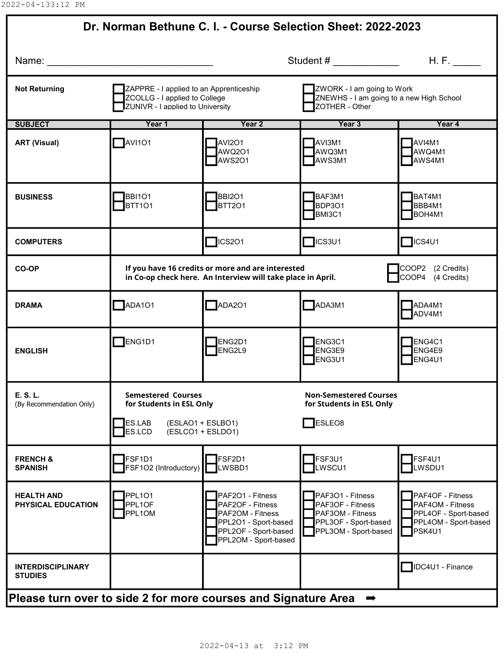| Dr. Norman Bethune C. I. - Course Selection Sheet: 2022-2023                                                                                                                                                                                                                                                             |                                                                                                                                                            |                                                                                                                                  |                                                                                                          |                                                                                                |  |  |  |  |
|--------------------------------------------------------------------------------------------------------------------------------------------------------------------------------------------------------------------------------------------------------------------------------------------------------------------------|------------------------------------------------------------------------------------------------------------------------------------------------------------|----------------------------------------------------------------------------------------------------------------------------------|----------------------------------------------------------------------------------------------------------|------------------------------------------------------------------------------------------------|--|--|--|--|
| H. F.<br>Student # $\frac{1}{2}$ $\frac{1}{2}$ $\frac{1}{2}$ $\frac{1}{2}$ $\frac{1}{2}$ $\frac{1}{2}$ $\frac{1}{2}$ $\frac{1}{2}$ $\frac{1}{2}$ $\frac{1}{2}$ $\frac{1}{2}$ $\frac{1}{2}$ $\frac{1}{2}$ $\frac{1}{2}$ $\frac{1}{2}$ $\frac{1}{2}$ $\frac{1}{2}$ $\frac{1}{2}$ $\frac{1}{2}$ $\frac{1}{2}$ $\frac{1}{2}$ |                                                                                                                                                            |                                                                                                                                  |                                                                                                          |                                                                                                |  |  |  |  |
| <b>Not Returning</b>                                                                                                                                                                                                                                                                                                     | ZAPPRE - I applied to an Apprenticeship<br>ZCOLLG - I applied to College<br><b>ZUNIVR - I applied to University</b>                                        |                                                                                                                                  | ZWORK - I am going to Work<br>ZNEWHS - I am going to a new High School<br>ZOTHER - Other                 |                                                                                                |  |  |  |  |
| <b>SUBJECT</b>                                                                                                                                                                                                                                                                                                           | Year 1                                                                                                                                                     | Year 2                                                                                                                           | Year 3                                                                                                   | Year 4                                                                                         |  |  |  |  |
| <b>ART (Visual)</b>                                                                                                                                                                                                                                                                                                      | $\blacksquare$ AVI101                                                                                                                                      | AVI2O1<br>AWQ2O1<br>AWS201                                                                                                       | AVI3M1<br>AWQ3M1<br>AWS3M1                                                                               | <b>TAVI4M1</b><br>AWQ4M1<br><b>TAWS4M1</b>                                                     |  |  |  |  |
| <b>BUSINESS</b>                                                                                                                                                                                                                                                                                                          | BBI101<br>BTT <sub>101</sub>                                                                                                                               | BBI2O1<br><b>BTT201</b>                                                                                                          | BAF3M1<br>BDP3O1<br>BMI3C1                                                                               | BAT4M1<br>BBB4M1<br>BOH4M1                                                                     |  |  |  |  |
| <b>COMPUTERS</b>                                                                                                                                                                                                                                                                                                         |                                                                                                                                                            | $T$ ICS201                                                                                                                       | $\Box$ ICS3U1                                                                                            | $\Box$ ICS4U1                                                                                  |  |  |  |  |
| CO-OP                                                                                                                                                                                                                                                                                                                    | If you have 16 credits or more and are interested<br>COOP2 (2 Credits)<br>COOP4 (4 Credits)<br>in Co-op check here. An Interview will take place in April. |                                                                                                                                  |                                                                                                          |                                                                                                |  |  |  |  |
| <b>DRAMA</b>                                                                                                                                                                                                                                                                                                             | $\Box$ ADA101                                                                                                                                              | $\n  ADA2O1\n$                                                                                                                   | $\n  ADA3M1\n$                                                                                           | <b>NADA4M1</b><br>ADV4M1                                                                       |  |  |  |  |
| <b>ENGLISH</b>                                                                                                                                                                                                                                                                                                           | $\Box$ ENG1D1                                                                                                                                              | ENG2D1<br><b>ENG2L9</b>                                                                                                          | ENG3C1<br>ENG3E9<br>ENG3U1                                                                               | ENG4C1<br>ENG4E9<br><b>IENG4U1</b>                                                             |  |  |  |  |
| E. S. L.<br>(By Recommendation Only)                                                                                                                                                                                                                                                                                     | <b>Semestered Courses</b><br>for Students in ESL Only<br><b>IES.LAB</b><br>(ESLAO1 + ESLBO1)                                                               |                                                                                                                                  | <b>Non-Semestered Courses</b><br>for Students in ESL Only<br>ESLEO <sub>8</sub>                          |                                                                                                |  |  |  |  |
|                                                                                                                                                                                                                                                                                                                          | ES.LCD                                                                                                                                                     | (ESLCO1 + ESLDO1)                                                                                                                |                                                                                                          |                                                                                                |  |  |  |  |
| <b>FRENCH &amp;</b><br><b>SPANISH</b>                                                                                                                                                                                                                                                                                    | <b>FSF1D1</b><br>FSF1O2 (Introductory)                                                                                                                     | <b>IFSF2D1</b><br><b>LWSBD1</b>                                                                                                  | FSF3U1<br>LWSCU1                                                                                         | FSF4U1<br>LWSDU1                                                                               |  |  |  |  |
| <b>HEALTH AND</b><br>PHYSICAL EDUCATION                                                                                                                                                                                                                                                                                  | PPL101<br>PPL1OF<br><b>PPL1OM</b>                                                                                                                          | PAF2O1 - Fitness<br>PAF2OF - Fitness<br>PAF2OM - Fitness<br>PPL2O1 - Sport-based<br>PPL2OF - Sport-based<br>PPL2OM - Sport-based | PAF3O1 - Fitness<br>PAF3OF - Fitness<br>PAF3OM - Fitness<br>PPL3OF - Sport-based<br>PPL3OM - Sport-based | PAF4OF - Fitness<br>PAF4OM - Fitness<br>PPL4OF - Sport-based<br>PPL4OM - Sport-based<br>PSK4U1 |  |  |  |  |
| <b>INTERDISCIPLINARY</b><br><b>STUDIES</b>                                                                                                                                                                                                                                                                               |                                                                                                                                                            |                                                                                                                                  |                                                                                                          | <b>IDC4U1</b> - Finance                                                                        |  |  |  |  |
| Please turn over to side 2 for more courses and Signature Area<br>$\Rightarrow$                                                                                                                                                                                                                                          |                                                                                                                                                            |                                                                                                                                  |                                                                                                          |                                                                                                |  |  |  |  |